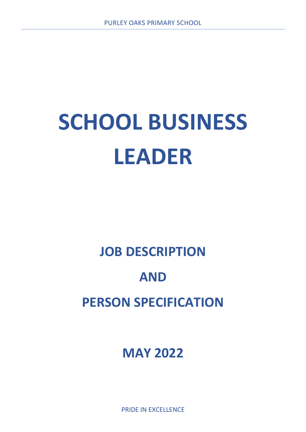## **SCHOOL BUSINESS LEADER**

## **JOB DESCRIPTION**

## **AND**

## **PERSON SPECIFICATION**

**MAY 2022**

PRIDE IN EXCELLENCE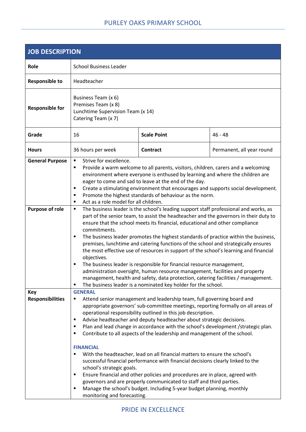| <b>JOB DESCRIPTION</b>                           |                                                                                                                                                                                                                                                                                                                                                                                                                                                                                                                                                                                                                                                                                                                                                                                                                                                                                                                                                                                                                                                                                                                                                                 |                    |                           |
|--------------------------------------------------|-----------------------------------------------------------------------------------------------------------------------------------------------------------------------------------------------------------------------------------------------------------------------------------------------------------------------------------------------------------------------------------------------------------------------------------------------------------------------------------------------------------------------------------------------------------------------------------------------------------------------------------------------------------------------------------------------------------------------------------------------------------------------------------------------------------------------------------------------------------------------------------------------------------------------------------------------------------------------------------------------------------------------------------------------------------------------------------------------------------------------------------------------------------------|--------------------|---------------------------|
| Role                                             | <b>School Business Leader</b>                                                                                                                                                                                                                                                                                                                                                                                                                                                                                                                                                                                                                                                                                                                                                                                                                                                                                                                                                                                                                                                                                                                                   |                    |                           |
| <b>Responsible to</b>                            | Headteacher                                                                                                                                                                                                                                                                                                                                                                                                                                                                                                                                                                                                                                                                                                                                                                                                                                                                                                                                                                                                                                                                                                                                                     |                    |                           |
| <b>Responsible for</b>                           | Business Team (x 6)<br>Premises Team (x 8)<br>Lunchtime Supervision Team (x 14)<br>Catering Team (x 7)                                                                                                                                                                                                                                                                                                                                                                                                                                                                                                                                                                                                                                                                                                                                                                                                                                                                                                                                                                                                                                                          |                    |                           |
| Grade                                            | 16                                                                                                                                                                                                                                                                                                                                                                                                                                                                                                                                                                                                                                                                                                                                                                                                                                                                                                                                                                                                                                                                                                                                                              | <b>Scale Point</b> | $46 - 48$                 |
| <b>Hours</b>                                     | 36 hours per week                                                                                                                                                                                                                                                                                                                                                                                                                                                                                                                                                                                                                                                                                                                                                                                                                                                                                                                                                                                                                                                                                                                                               | <b>Contract</b>    | Permanent, all year round |
| <b>General Purpose</b><br><b>Purpose of role</b> | Strive for excellence.<br>$\blacksquare$<br>Provide a warm welcome to all parents, visitors, children, carers and a welcoming<br>٠<br>environment where everyone is enthused by learning and where the children are<br>eager to come and sad to leave at the end of the day.<br>Create a stimulating environment that encourages and supports social development.<br>٠<br>Promote the highest standards of behaviour as the norm.<br>٠<br>Act as a role model for all children.<br>$\blacksquare$<br>The business leader is the school's leading support staff professional and works, as<br>٠<br>part of the senior team, to assist the headteacher and the governors in their duty to<br>ensure that the school meets its financial, educational and other compliance<br>commitments.<br>The business leader promotes the highest standards of practice within the business,<br>٠<br>premises, lunchtime and catering functions of the school and strategically ensures<br>the most effective use of resources in support of the school's learning and financial<br>objectives.<br>The business leader is responsible for financial resource management,<br>٠ |                    |                           |
|                                                  | administration oversight, human resource management, facilities and property<br>management, health and safety, data protection, catering facilities / management.                                                                                                                                                                                                                                                                                                                                                                                                                                                                                                                                                                                                                                                                                                                                                                                                                                                                                                                                                                                               |                    |                           |
| Key<br><b>Responsibilities</b>                   | The business leader is a nominated key holder for the school.<br>Е<br><b>GENERAL</b><br>Attend senior management and leadership team, full governing board and<br>٠<br>appropriate governors' sub-committee meetings, reporting formally on all areas of<br>operational responsibility outlined in this job description.<br>Advise headteacher and deputy headteacher about strategic decisions.<br>٠<br>Plan and lead change in accordance with the school's development / strategic plan.<br>٠<br>Contribute to all aspects of the leadership and management of the school.<br>П<br><b>FINANCIAL</b><br>With the headteacher, lead on all financial matters to ensure the school's<br>п<br>successful financial performance with financial decisions clearly linked to the<br>school's strategic goals.<br>Ensure financial and other policies and procedures are in place, agreed with<br>П<br>governors and are properly communicated to staff and third parties.<br>Manage the school's budget. Including 5-year budget planning, monthly<br>Е                                                                                                             |                    |                           |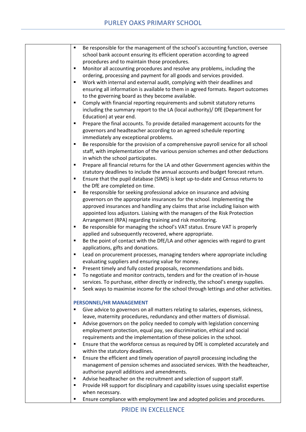| Be responsible for the management of the school's accounting function, oversee<br>٠                  |
|------------------------------------------------------------------------------------------------------|
| school bank account ensuring its efficient operation according to agreed                             |
| procedures and to maintain those procedures.                                                         |
| Monitor all accounting procedures and resolve any problems, including the<br>٠                       |
| ordering, processing and payment for all goods and services provided.                                |
| Work with internal and external audit, complying with their deadlines and<br>٠                       |
| ensuring all information is available to them in agreed formats. Report outcomes                     |
| to the governing board as they become available.                                                     |
| Comply with financial reporting requirements and submit statutory returns<br>٠                       |
| including the summary report to the LA (local authority)/ DfE (Department for                        |
| Education) at year end.                                                                              |
| Prepare the final accounts. To provide detailed management accounts for the<br>п                     |
| governors and headteacher according to an agreed schedule reporting                                  |
| immediately any exceptional problems.                                                                |
| Be responsible for the provision of a comprehensive payroll service for all school<br>$\blacksquare$ |
| staff, with implementation of the various pension schemes and other deductions                       |
| in which the school participates.                                                                    |
| Prepare all financial returns for the LA and other Government agencies within the<br>٠               |
| statutory deadlines to include the annual accounts and budget forecast return.                       |
| Ensure that the pupil database (SIMS) is kept up-to-date and Census returns to<br>$\blacksquare$     |
| the DfE are completed on time.                                                                       |
| Be responsible for seeking professional advice on insurance and advising<br>٠                        |
| governors on the appropriate insurances for the school. Implementing the                             |
| approved insurances and handling any claims that arise including liaison with                        |
| appointed loss adjustors. Liaising with the managers of the Risk Protection                          |
| Arrangement (RPA) regarding training and risk monitoring.                                            |
| Be responsible for managing the school's VAT status. Ensure VAT is properly<br>٠                     |
| applied and subsequently recovered, where appropriate.                                               |
| Be the point of contact with the DfE/LA and other agencies with regard to grant<br>٠                 |
| applications, gifts and donations.                                                                   |
| Lead on procurement processes, managing tenders where appropriate including<br>٠                     |
| evaluating suppliers and ensuring value for money.                                                   |
| Present timely and fully costed proposals, recommendations and bids.<br>٠                            |
| To negotiate and monitor contracts, tenders and for the creation of in-house<br>$\blacksquare$       |
| services. To purchase, either directly or indirectly, the school's energy supplies.                  |
| Seek ways to maximise income for the school through lettings and other activities.<br>٠              |
|                                                                                                      |
| PERSONNEL/HR MANAGEMENT                                                                              |
| Give advice to governors on all matters relating to salaries, expenses, sickness,<br>п               |
| leave, maternity procedures, redundancy and other matters of dismissal.                              |
| Advise governors on the policy needed to comply with legislation concerning<br>٠                     |
| employment protection, equal pay, sex discrimination, ethical and social                             |
| requirements and the implementation of these policies in the school.                                 |
| Ensure that the workforce census as required by DfE is completed accurately and<br>٠                 |
| within the statutory deadlines.                                                                      |
| Ensure the efficient and timely operation of payroll processing including the<br>٠                   |
| management of pension schemes and associated services. With the headteacher,                         |
| authorise payroll additions and amendments.                                                          |
| Advise headteacher on the recruitment and selection of support staff.<br>٠                           |
| Provide HR support for disciplinary and capability issues using specialist expertise<br>٠            |
| when necessary.                                                                                      |
| Ensure compliance with employment law and adopted policies and procedures.<br>٠                      |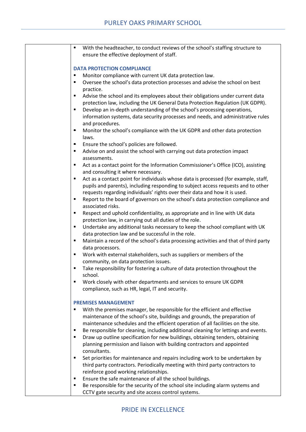| With the headteacher, to conduct reviews of the school's staffing structure to<br>٠                    |
|--------------------------------------------------------------------------------------------------------|
| ensure the effective deployment of staff.                                                              |
|                                                                                                        |
| <b>DATA PROTECTION COMPLIANCE</b>                                                                      |
| Monitor compliance with current UK data protection law.<br>٠                                           |
| Oversee the school's data protection processes and advise the school on best<br>п                      |
| practice.                                                                                              |
| Advise the school and its employees about their obligations under current data<br>٠                    |
| protection law, including the UK General Data Protection Regulation (UK GDPR).                         |
| Develop an in-depth understanding of the school's processing operations,<br>٠                          |
| information systems, data security processes and needs, and administrative rules                       |
| and procedures.                                                                                        |
| Monitor the school's compliance with the UK GDPR and other data protection<br>٠                        |
| laws.                                                                                                  |
| Ensure the school's policies are followed.                                                             |
| Advise on and assist the school with carrying out data protection impact<br>٠                          |
| assessments.                                                                                           |
| Act as a contact point for the Information Commissioner's Office (ICO), assisting<br>٠                 |
| and consulting it where necessary.                                                                     |
| Act as a contact point for individuals whose data is processed (for example, staff,<br>٠               |
| pupils and parents), including responding to subject access requests and to other                      |
| requests regarding individuals' rights over their data and how it is used.                             |
| Report to the board of governors on the school's data protection compliance and<br>٠                   |
| associated risks.                                                                                      |
| Respect and uphold confidentiality, as appropriate and in line with UK data<br>٠                       |
| protection law, in carrying out all duties of the role.                                                |
| Undertake any additional tasks necessary to keep the school compliant with UK<br>٠                     |
| data protection law and be successful in the role.                                                     |
| Maintain a record of the school's data processing activities and that of third party<br>٠              |
| data processors.                                                                                       |
| Work with external stakeholders, such as suppliers or members of the<br>٠                              |
| community, on data protection issues.                                                                  |
| Take responsibility for fostering a culture of data protection throughout the<br>٠                     |
| school.                                                                                                |
| Work closely with other departments and services to ensure UK GDPR<br>$\blacksquare$                   |
| compliance, such as HR, legal, IT and security.                                                        |
|                                                                                                        |
| <b>PREMISES MANAGEMENT</b>                                                                             |
| With the premises manager, be responsible for the efficient and effective                              |
| maintenance of the school's site, buildings and grounds, the preparation of                            |
| maintenance schedules and the efficient operation of all facilities on the site.                       |
| Be responsible for cleaning, including additional cleaning for lettings and events.<br>٠               |
| Draw up outline specification for new buildings, obtaining tenders, obtaining<br>٠                     |
| planning permission and liaison with building contractors and appointed<br>consultants.                |
| ٠                                                                                                      |
| Set priorities for maintenance and repairs including work to be undertaken by                          |
| third party contractors. Periodically meeting with third party contractors to                          |
| reinforce good working relationships.<br>Ensure the safe maintenance of all the school buildings.<br>٠ |
| Be responsible for the security of the school site including alarm systems and<br>٠                    |
| CCTV gate security and site access control systems.                                                    |
|                                                                                                        |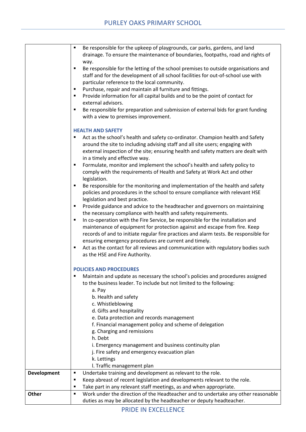|                    | Be responsible for the upkeep of playgrounds, car parks, gardens, and land<br>٠<br>drainage. To ensure the maintenance of boundaries, footpaths, road and rights of                                                                                                                                                                                                                                                                                                                                                                                                                                                                                                                                                                                                                                                                                                                                                                                                                                                                                                                                                                                                                  |
|--------------------|--------------------------------------------------------------------------------------------------------------------------------------------------------------------------------------------------------------------------------------------------------------------------------------------------------------------------------------------------------------------------------------------------------------------------------------------------------------------------------------------------------------------------------------------------------------------------------------------------------------------------------------------------------------------------------------------------------------------------------------------------------------------------------------------------------------------------------------------------------------------------------------------------------------------------------------------------------------------------------------------------------------------------------------------------------------------------------------------------------------------------------------------------------------------------------------|
|                    | way.<br>Be responsible for the letting of the school premises to outside organisations and<br>٠<br>staff and for the development of all school facilities for out-of-school use with<br>particular reference to the local community.                                                                                                                                                                                                                                                                                                                                                                                                                                                                                                                                                                                                                                                                                                                                                                                                                                                                                                                                                 |
|                    | Purchase, repair and maintain all furniture and fittings.<br>٠<br>Provide information for all capital builds and to be the point of contact for<br>٠<br>external advisors.                                                                                                                                                                                                                                                                                                                                                                                                                                                                                                                                                                                                                                                                                                                                                                                                                                                                                                                                                                                                           |
|                    | Be responsible for preparation and submission of external bids for grant funding<br>٠<br>with a view to premises improvement.                                                                                                                                                                                                                                                                                                                                                                                                                                                                                                                                                                                                                                                                                                                                                                                                                                                                                                                                                                                                                                                        |
|                    | <b>HEALTH AND SAFETY</b><br>Act as the school's health and safety co-ordinator. Champion health and Safety<br>around the site to including advising staff and all site users; engaging with<br>external inspection of the site; ensuring health and safety matters are dealt with<br>in a timely and effective way.<br>Formulate, monitor and implement the school's health and safety policy to<br>٠<br>comply with the requirements of Health and Safety at Work Act and other<br>legislation.<br>Be responsible for the monitoring and implementation of the health and safety<br>Ξ<br>policies and procedures in the school to ensure compliance with relevant HSE<br>legislation and best practice.<br>Provide guidance and advice to the headteacher and governors on maintaining<br>٠<br>the necessary compliance with health and safety requirements.<br>In co-operation with the Fire Service, be responsible for the installation and<br>٠<br>maintenance of equipment for protection against and escape from fire. Keep<br>records of and to initiate regular fire practices and alarm tests. Be responsible for<br>ensuring emergency procedures are current and timely. |
|                    | Act as the contact for all reviews and communication with regulatory bodies such<br>٠<br>as the HSE and Fire Authority.                                                                                                                                                                                                                                                                                                                                                                                                                                                                                                                                                                                                                                                                                                                                                                                                                                                                                                                                                                                                                                                              |
|                    | <b>POLICIES AND PROCEDURES</b><br>Maintain and update as necessary the school's policies and procedures assigned<br>٠<br>to the business leader. To include but not limited to the following:<br>a. Pay<br>b. Health and safety<br>c. Whistleblowing<br>d. Gifts and hospitality<br>e. Data protection and records management<br>f. Financial management policy and scheme of delegation<br>g. Charging and remissions<br>h. Debt                                                                                                                                                                                                                                                                                                                                                                                                                                                                                                                                                                                                                                                                                                                                                    |
|                    | i. Emergency management and business continuity plan<br>j. Fire safety and emergency evacuation plan<br>k. Lettings                                                                                                                                                                                                                                                                                                                                                                                                                                                                                                                                                                                                                                                                                                                                                                                                                                                                                                                                                                                                                                                                  |
|                    | I. Traffic management plan                                                                                                                                                                                                                                                                                                                                                                                                                                                                                                                                                                                                                                                                                                                                                                                                                                                                                                                                                                                                                                                                                                                                                           |
| <b>Development</b> | Undertake training and development as relevant to the role.<br>٠                                                                                                                                                                                                                                                                                                                                                                                                                                                                                                                                                                                                                                                                                                                                                                                                                                                                                                                                                                                                                                                                                                                     |
|                    | Keep abreast of recent legislation and developments relevant to the role.<br>٠<br>Take part in any relevant staff meetings, as and when appropriate.<br>٠                                                                                                                                                                                                                                                                                                                                                                                                                                                                                                                                                                                                                                                                                                                                                                                                                                                                                                                                                                                                                            |
| Other              | Work under the direction of the Headteacher and to undertake any other reasonable<br>٠                                                                                                                                                                                                                                                                                                                                                                                                                                                                                                                                                                                                                                                                                                                                                                                                                                                                                                                                                                                                                                                                                               |
|                    | duties as may be allocated by the headteacher or deputy headteacher.                                                                                                                                                                                                                                                                                                                                                                                                                                                                                                                                                                                                                                                                                                                                                                                                                                                                                                                                                                                                                                                                                                                 |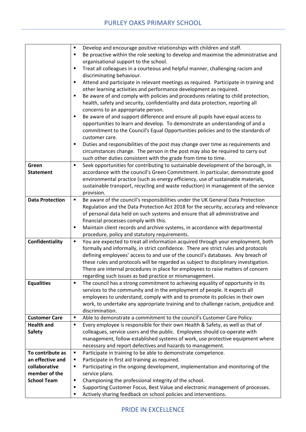|                        | Develop and encourage positive relationships with children and staff.<br>٠                             |
|------------------------|--------------------------------------------------------------------------------------------------------|
|                        | Be proactive within the role seeking to develop and maximise the administrative and<br>$\blacksquare$  |
|                        | organisational support to the school.                                                                  |
|                        | Treat all colleagues in a courteous and helpful manner, challenging racism and<br>П                    |
|                        | discriminating behaviour.                                                                              |
|                        | Attend and participate in relevant meetings as required. Participate in training and<br>$\blacksquare$ |
|                        | other learning activities and performance development as required.                                     |
|                        | Be aware of and comply with policies and procedures relating to child protection,<br>٠                 |
|                        | health, safety and security, confidentiality and data protection, reporting all                        |
|                        | concerns to an appropriate person.                                                                     |
|                        | Be aware of and support difference and ensure all pupils have equal access to<br>٠                     |
|                        | opportunities to learn and develop. To demonstrate an understanding of and a                           |
|                        | commitment to the Council's Equal Opportunities policies and to the standards of                       |
|                        | customer care.                                                                                         |
|                        | Duties and responsibilities of the post may change over time as requirements and<br>п                  |
|                        | circumstances change. The person in the post may also be required to carry out                         |
|                        | such other duties consistent with the grade from time to time.                                         |
| Green                  | Seek opportunities for contributing to sustainable development of the borough, in<br>$\blacksquare$    |
| <b>Statement</b>       | accordance with the council's Green Commitment. In particular, demonstrate good                        |
|                        | environmental practice (such as energy efficiency, use of sustainable materials,                       |
|                        | sustainable transport, recycling and waste reduction) in management of the service                     |
|                        | provision.                                                                                             |
| <b>Data Protection</b> | Be aware of the council's responsibilities under the UK General Data Protection<br>$\blacksquare$      |
|                        | Regulation and the Data Protection Act 2018 for the security, accuracy and relevance                   |
|                        | of personal data held on such systems and ensure that all administrative and                           |
|                        | financial processes comply with this.                                                                  |
|                        | Maintain client records and archive systems, in accordance with departmental<br>٠                      |
|                        | procedure, policy and statutory requirements.                                                          |
| Confidentiality        | You are expected to treat all information acquired through your employment, both<br>٠                  |
|                        | formally and informally, in strict confidence. There are strict rules and protocols                    |
|                        | defining employees' access to and use of the council's databases. Any breach of                        |
|                        | these rules and protocols will be regarded as subject to disciplinary investigation.                   |
|                        | There are internal procedures in place for employees to raise matters of concern                       |
|                        | regarding such issues as bad practice or mismanagement.                                                |
| <b>Equalities</b>      | The council has a strong commitment to achieving equality of opportunity in its<br>п                   |
|                        | services to the community and in the employment of people. It expects all                              |
|                        | employees to understand, comply with and to promote its policies in their own                          |
|                        | work, to undertake any appropriate training and to challenge racism, prejudice and                     |
|                        | discrimination.                                                                                        |
| <b>Customer Care</b>   | Able to demonstrate a commitment to the council's Customer Care Policy.<br>٠                           |
| <b>Health and</b>      | Every employee is responsible for their own Health & Safety, as well as that of<br>$\blacksquare$      |
| <b>Safety</b>          | colleagues, service users and the public. Employees should co-operate with                             |
|                        | management, follow established systems of work, use protective equipment where                         |
|                        | necessary and report defectives and hazards to management.                                             |
| To contribute as       | Participate in training to be able to demonstrate competence.<br>п                                     |
| an effective and       | Participate in first aid training as required.<br>٠                                                    |
| collaborative          | Participating in the ongoing development, implementation and monitoring of the<br>٠                    |
| member of the          | service plans.                                                                                         |
| <b>School Team</b>     | Championing the professional integrity of the school.<br>٠                                             |
|                        | Supporting Customer Focus, Best Value and electronic management of processes.<br>٠                     |
|                        | Actively sharing feedback on school policies and interventions.<br>٠                                   |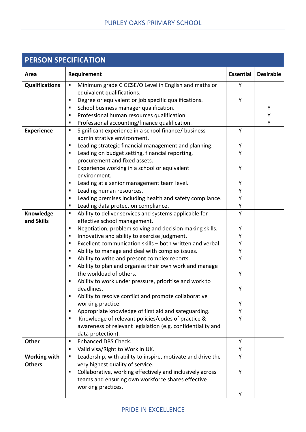| <b>PERSON SPECIFICATION</b> |                                                                                          |                  |                  |
|-----------------------------|------------------------------------------------------------------------------------------|------------------|------------------|
| Area                        | Requirement                                                                              | <b>Essential</b> | <b>Desirable</b> |
| <b>Qualifications</b>       | Minimum grade C GCSE/O Level in English and maths or<br>$\blacksquare$                   | Y                |                  |
|                             | equivalent qualifications.                                                               |                  |                  |
|                             | Degree or equivalent or job specific qualifications.<br>п                                | Υ                |                  |
|                             | School business manager qualification.<br>п                                              |                  | Υ                |
|                             | Professional human resources qualification.<br>Е                                         |                  | Υ                |
|                             | Professional accounting/finance qualification.<br>Е                                      |                  | Υ                |
| <b>Experience</b>           | Significant experience in a school finance/ business<br>п<br>administrative environment. | Y                |                  |
|                             | Е                                                                                        | Υ                |                  |
|                             | Leading strategic financial management and planning.<br>п                                | Y                |                  |
|                             | Leading on budget setting, financial reporting,<br>procurement and fixed assets.         |                  |                  |
|                             | Experience working in a school or equivalent<br>п                                        | Υ                |                  |
|                             | environment.                                                                             |                  |                  |
|                             | Leading at a senior management team level.<br>п                                          | Υ                |                  |
|                             | Leading human resources.<br>п                                                            | Υ                |                  |
|                             | Leading premises including health and safety compliance.<br>п                            | Υ                |                  |
|                             | Leading data protection compliance.<br>Е                                                 | Υ                |                  |
| Knowledge                   | Ability to deliver services and systems applicable for<br>п                              | Y                |                  |
| and Skills                  | effective school management.                                                             |                  |                  |
|                             | Negotiation, problem solving and decision making skills.<br>п                            | Υ                |                  |
|                             | Innovative and ability to exercise judgment.<br>Е                                        | Υ                |                  |
|                             | Excellent communication skills - both written and verbal.<br>п                           | Υ                |                  |
|                             | Ability to manage and deal with complex issues.<br>п                                     | Υ                |                  |
|                             | Ability to write and present complex reports.<br>п                                       | Υ                |                  |
|                             | Ability to plan and organise their own work and manage                                   |                  |                  |
|                             | the workload of others.                                                                  | Υ                |                  |
|                             | Ability to work under pressure, prioritise and work to                                   |                  |                  |
|                             | deadlines.                                                                               | Υ                |                  |
|                             | Ability to resolve conflict and promote collaborative<br>Е                               |                  |                  |
|                             | working practice.                                                                        | Υ                |                  |
|                             | Appropriate knowledge of first aid and safeguarding.<br>в                                | Υ                |                  |
|                             | Knowledge of relevant policies/codes of practice &<br>п                                  | Y                |                  |
|                             | awareness of relevant legislation (e.g. confidentiality and                              |                  |                  |
|                             | data protection).                                                                        |                  |                  |
| <b>Other</b>                | Enhanced DBS Check.<br>п                                                                 | Y                |                  |
|                             | Valid visa/Right to Work in UK.<br>п                                                     | Υ                |                  |
| <b>Working with</b>         | Leadership, with ability to inspire, motivate and drive the<br>п                         | Y                |                  |
| <b>Others</b>               | very highest quality of service.                                                         |                  |                  |
|                             | Collaborative, working effectively and inclusively across<br>٠                           | Υ                |                  |
|                             | teams and ensuring own workforce shares effective                                        |                  |                  |
|                             | working practices.                                                                       |                  |                  |
|                             |                                                                                          | Υ                |                  |